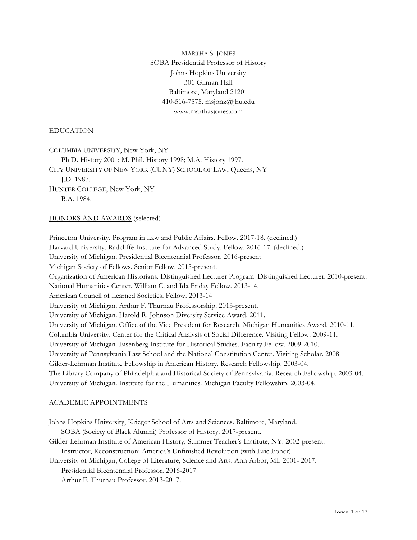MARTHA S. JONES SOBA Presidential Professor of History Johns Hopkins University 301 Gilman Hall Baltimore, Maryland 21201 410-516-7575. msjonz@jhu.edu www.marthasjones.com

### EDUCATION

COLUMBIA UNIVERSITY, New York, NY Ph.D. History 2001; M. Phil. History 1998; M.A. History 1997. CITY UNIVERSITY OF NEW YORK (CUNY) SCHOOL OF LAW, Queens, NY J.D. 1987. HUNTER COLLEGE, New York, NY B.A. 1984.

#### HONORS AND AWARDS (selected)

Princeton University. Program in Law and Public Affairs. Fellow. 2017-18. (declined.) Harvard University. Radcliffe Institute for Advanced Study. Fellow. 2016-17. (declined.) University of Michigan. Presidential Bicentennial Professor. 2016-present. Michigan Society of Fellows. Senior Fellow. 2015-present. Organization of American Historians. Distinguished Lecturer Program. Distinguished Lecturer. 2010-present. National Humanities Center. William C. and Ida Friday Fellow. 2013-14. American Council of Learned Societies. Fellow. 2013-14 University of Michigan. Arthur F. Thurnau Professorship. 2013-present. University of Michigan. Harold R. Johnson Diversity Service Award. 2011. University of Michigan. Office of the Vice President for Research. Michigan Humanities Award. 2010-11. Columbia University. Center for the Critical Analysis of Social Difference. Visiting Fellow. 2009-11. University of Michigan. Eisenberg Institute for Historical Studies. Faculty Fellow. 2009-2010. University of Pennsylvania Law School and the National Constitution Center. Visiting Scholar. 2008. Gilder-Lehrman Institute Fellowship in American History. Research Fellowship. 2003-04. The Library Company of Philadelphia and Historical Society of Pennsylvania. Research Fellowship. 2003-04. University of Michigan. Institute for the Humanities. Michigan Faculty Fellowship. 2003-04.

## ACADEMIC APPOINTMENTS

Johns Hopkins University, Krieger School of Arts and Sciences. Baltimore, Maryland. SOBA (Society of Black Alumni) Professor of History. 2017-present. Gilder-Lehrman Institute of American History, Summer Teacher's Institute, NY. 2002-present. Instructor, Reconstruction: America's Unfinished Revolution (with Eric Foner). University of Michigan, College of Literature, Science and Arts. Ann Arbor, MI. 2001- 2017. Presidential Bicentennial Professor. 2016-2017. Arthur F. Thurnau Professor. 2013-2017.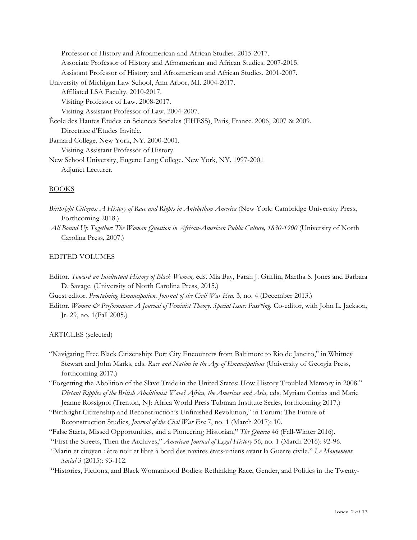| Professor of History and Afroamerican and African Studies. 2015-2017.                   |
|-----------------------------------------------------------------------------------------|
| Associate Professor of History and Afroamerican and African Studies. 2007-2015.         |
| Assistant Professor of History and Afroamerican and African Studies. 2001-2007.         |
| University of Michigan Law School, Ann Arbor, MI. 2004-2017.                            |
| Affiliated LSA Faculty. 2010-2017.                                                      |
| Visiting Professor of Law. 2008-2017.                                                   |
| Visiting Assistant Professor of Law. 2004-2007.                                         |
| École des Hautes Études en Sciences Sociales (EHESS), Paris, France. 2006, 2007 & 2009. |
| Directrice d'Études Invitée.                                                            |
| Barnard College. New York, NY. 2000-2001.                                               |
| Visiting Assistant Professor of History.                                                |
| New School University, Eugene Lang College. New York, NY. 1997-2001                     |
| Adjunct Lecturer.                                                                       |
|                                                                                         |

# BOOKS

- *Birthright Citizens: A History of Race and Rights in Antebellum America* (New York: Cambridge University Press, Forthcoming 2018.)
- *All Bound Up Together: The Woman Question in African-American Public Culture, 1830-1900* (University of North Carolina Press, 2007.)

# EDITED VOLUMES

Editor. *Toward an Intellectual History of Black Women,* eds. Mia Bay, Farah J. Griffin, Martha S. Jones and Barbara D. Savage. (University of North Carolina Press, 2015.)

Guest editor. *Proclaiming Emancipation. Journal of the Civil War Era.* 3, no. 4 (December 2013.)

Editor. *Women & Performance: A Journal of Feminist Theory. Special Issue: Pass\*ing.* Co-editor, with John L. Jackson, Jr. 29, no. 1(Fall 2005.)

# ARTICLES (selected)

- "Navigating Free Black Citizenship: Port City Encounters from Baltimore to Rio de Janeiro," in Whitney Stewart and John Marks, eds. *Race and Nation in the Age of Emancipations* (University of Georgia Press, forthcoming 2017.)
- "Forgetting the Abolition of the Slave Trade in the United States: How History Troubled Memory in 2008." *Distant Ripples of the British Abolitionist Wave? Africa, the Americas and Asia,* eds. Myriam Cottias and Marie Jeanne Rossignol (Trenton, NJ: Africa World Press Tubman Institute Series, forthcoming 2017.)
- "Birthright Citizenship and Reconstruction's Unfinished Revolution," in Forum: The Future of Reconstruction Studies, *Journal of the Civil War Era* 7, no. 1 (March 2017): 10.
- "False Starts, Missed Opportunities, and a Pioneering Historian," *The Quarto* 46 (Fall-Winter 2016).
- "First the Streets, Then the Archives," *American Journal of Legal History* 56, no. 1 (March 2016): 92-96.
- "Marin et citoyen : être noir et libre à bord des navires états-uniens avant la Guerre civile." *Le Mouvement Social* 3 (2015): 93-112.
- "Histories, Fictions, and Black Womanhood Bodies: Rethinking Race, Gender, and Politics in the Twenty-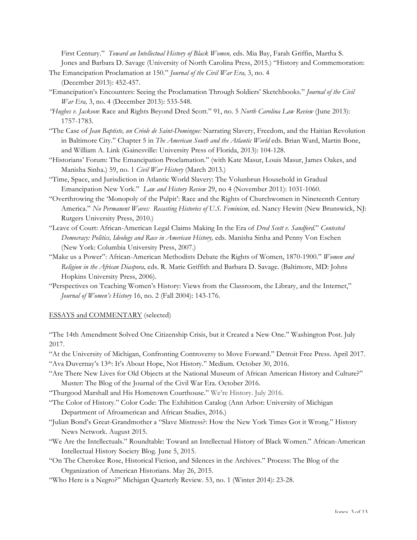First Century." *Toward an Intellectual History of Black Women,* eds. Mia Bay, Farah Griffin, Martha S. Jones and Barbara D. Savage (University of North Carolina Press, 2015.) "History and Commemoration:

- The Emancipation Proclamation at 150." *Journal of the Civil War Era,* 3, no. 4 (December 2013): 452-457.
- "Emancipation's Encounters: Seeing the Proclamation Through Soldiers' Sketchbooks." *Journal of the Civil War Era,* 3, no. 4 (December 2013): 533-548.
- *"Hughes v. Jackson*: Race and Rights Beyond Dred Scott." 91, no. 5 *North Carolina Law Review* (June 2013): 1757-1783.
- "The Case of *Jean Baptiste, un Créole de Saint-Domingue:* Narrating Slavery, Freedom, and the Haitian Revolution in Baltimore City." Chapter 5 in *The American South and the Atlantic World* eds. Brian Ward, Martin Bone, and William A. Link (Gainesville: University Press of Florida, 2013): 104-128.
- "Historians' Forum: The Emancipation Proclamation." (with Kate Masur, Louis Masur, James Oakes, and Manisha Sinha.) 59, no. 1 *Civil War History* (March 2013*.*)
- "Time, Space, and Jurisdiction in Atlantic World Slavery: The Volunbrun Household in Gradual Emancipation New York." *Law and History Review* 29, no 4 (November 2011): 1031-1060.
- "Overthrowing the 'Monopoly of the Pulpit': Race and the Rights of Churchwomen in Nineteenth Century America." No Permanent Waves: Recasting Histories of U.S. Feminism, ed. Nancy Hewitt (New Brunswick, NJ: Rutgers University Press, 2010.)
- "Leave of Court: African-American Legal Claims Making In the Era of *Dred Scott v. Sandford.*" *Contested Democracy: Politics, Ideology and Race in American History,* eds. Manisha Sinha and Penny Von Eschen (New York: Columbia University Press, 2007.)
- "Make us a Power": African-American Methodists Debate the Rights of Women, 1870-1900." *Women and Religion in the African Diaspora,* eds. R. Marie Griffith and Barbara D. Savage. (Baltimore, MD: Johns Hopkins University Press, 2006).
- "Perspectives on Teaching Women's History: Views from the Classroom, the Library, and the Internet," *Journal of Women's History* 16, no. 2 (Fall 2004): 143-176.

## ESSAYS and COMMENTARY (selected)

"The 14th Amendment Solved One Citizenship Crisis, but it Created a New One." Washington Post. July 2017.

"At the University of Michigan, Confronting Controversy to Move Forward." Detroit Free Press. April 2017.

- "Ava Duvernay's 13th: It's About Hope, Not History." Medium. October 30, 2016.
- "Are There New Lives for Old Objects at the National Museum of African American History and Culture?" Muster: The Blog of the Journal of the Civil War Era. October 2016.
- "Thurgood Marshall and His Hometown Courthouse." We're History. July 2016.

"The Color of History." Color Code: The Exhibition Catalog (Ann Arbor: University of Michigan Department of Afroamerican and African Studies, 2016.)

- "Julian Bond's Great-Grandmother a "Slave Mistress?: How the New York Times Got it Wrong." History News Network. August 2015.
- "We Are the Intellectuals." Roundtable: Toward an Intellectual History of Black Women." African-American Intellectual History Society Blog. June 5, 2015.
- "On The Cherokee Rose, Historical Fiction, and Silences in the Archives." Process: The Blog of the Organization of American Historians. May 26, 2015.
- "Who Here is a Negro?" Michigan Quarterly Review. 53, no. 1 (Winter 2014): 23-28.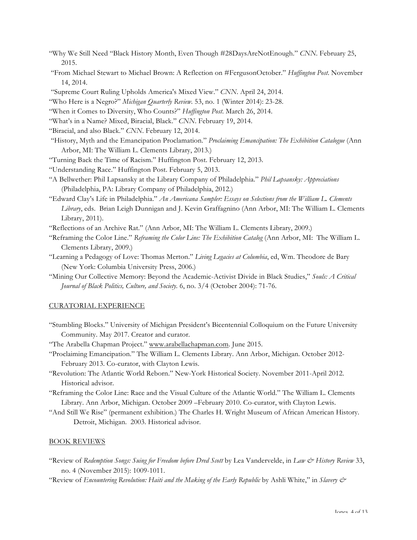- "Why We Still Need "Black History Month, Even Though #28DaysAreNotEnough." *CNN.* February 25, 2015.
- "From Michael Stewart to Michael Brown: A Reflection on #FergusonOctober." *Huffington Post*. November 14, 2014.
- "Supreme Court Ruling Upholds America's Mixed View." *CNN*. April 24, 2014.

"Who Here is a Negro?" *Michigan Quarterly Review.* 53, no. 1 (Winter 2014): 23-28.

- "When it Comes to Diversity, Who Counts?" *Huffington Post*. March 26, 2014.
- "What's in a Name? Mixed, Biracial, Black." *CNN*. February 19, 2014.
- "Biracial, and also Black." *CNN*. February 12, 2014.
- "History, Myth and the Emancipation Proclamation." *Proclaiming Emancipation: The Exhibition Catalogue* (Ann Arbor, MI: The William L. Clements Library, 2013.)
- "Turning Back the Time of Racism." Huffington Post. February 12, 2013.
- "Understanding Race." Huffington Post. February 5, 2013.
- "A Bellwether: Phil Lapsansky at the Library Company of Philadelphia." *Phil Lapsansky: Appreciations*  (Philadelphia, PA: Library Company of Philadelphia, 2012.)
- "Edward Clay's Life in Philadelphia." *An Americana Sampler: Essays on Selections from the William L. Clements Library*, eds. Brian Leigh Dunnigan and J. Kevin Graffagnino (Ann Arbor, MI: The William L. Clements Library, 2011).

"Reflections of an Archive Rat." (Ann Arbor, MI: The William L. Clements Library, 2009.)

- "Reframing the Color Line." *Reframing the Color Line: The Exhibition Catalog* (Ann Arbor, MI: The William L. Clements Library, 2009.)
- "Learning a Pedagogy of Love: Thomas Merton." *Living Legacies at Columbia*, ed, Wm. Theodore de Bary (New York: Columbia University Press, 2006.)
- "Mining Our Collective Memory: Beyond the Academic-Activist Divide in Black Studies," *Souls: A Critical Journal of Black Politics, Culture, and Society.* 6, no. 3/4 (October 2004): 71-76.

### CURATORIAL EXPERIENCE

"Stumbling Blocks." University of Michigan President's Bicentennial Colloquium on the Future University Community. May 2017. Creator and curator.

"The Arabella Chapman Project." www.arabellachapman.com. June 2015.

- "Proclaiming Emancipation." The William L. Clements Library. Ann Arbor, Michigan. October 2012- February 2013. Co-curator, with Clayton Lewis.
- "Revolution: The Atlantic World Reborn." New-York Historical Society. November 2011-April 2012. Historical advisor.
- "Reframing the Color Line: Race and the Visual Culture of the Atlantic World." The William L. Clements Library. Ann Arbor, Michigan. October 2009 –February 2010. Co-curator, with Clayton Lewis.
- "And Still We Rise" (permanent exhibition.) The Charles H. Wright Museum of African American History. Detroit, Michigan. 2003. Historical advisor.

#### BOOK REVIEWS

- "Review of *Redemption Songs: Suing for Freedom before Dred Scott* by Lea Vandervelde, in *Law & History Review* 33, no. 4 (November 2015): 1009-1011.
- "Review of *Encountering Revolution: Haiti and the Making of the Early Republic* by Ashli White," in *Slavery &*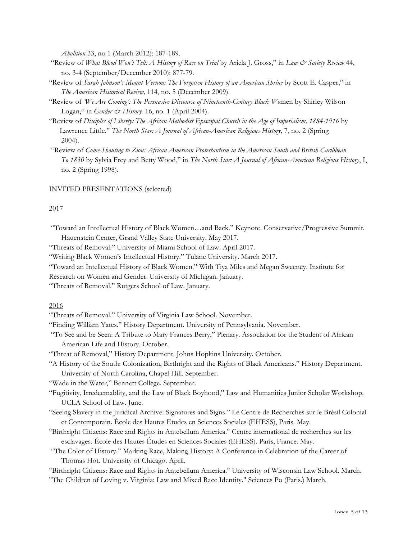*Abolition* 33, no 1 (March 2012): 187-189.

- "Review of *What Blood Won't Tell: A History of Race on Trial* by Ariela J. Gross," in *Law & Society Review* 44, no. 3-4 (September/December 2010): 877-79.
- "Review of *Sarah Johnson's Mount Vernon: The Forgotten History of an American Shrine* by Scott E. Casper," in *The American Historical Review,* 114, no. 5 (December 2009).
- "Review of *'We Are Coming': The Persuasive Discourse of Nineteenth-Century Black Wo*men by Shirley Wilson Logan," in *Gender & History*. 16, no. 1 (April 2004).
- "Review of *Disciples of Liberty: The African Methodist Episcopal Church in the Age of Imperialism, 1884-1916* by Lawrence Little." *The North Star: A Journal of African-American Religious History,* 7, no. 2 (Spring 2004).
- "Review of *Come Shouting to Zion: African American Protestantism in the American South and British Caribbean To 1830* by Sylvia Frey and Betty Wood," in *The North Star: A Journal of African-American Religious History*, I, no. 2 (Spring 1998).

#### INVITED PRESENTATIONS (selected)

#### 2017

- "Toward an Intellectual History of Black Women…and Back." Keynote. Conservative/Progressive Summit. Hauenstein Center, Grand Valley State University. May 2017.
- "Threats of Removal." University of Miami School of Law. April 2017.
- "Writing Black Women's Intellectual History." Tulane University. March 2017.
- "Toward an Intellectual History of Black Women." With Tiya Miles and Megan Sweeney. Institute for
- Research on Women and Gender. University of Michigan. January.
- "Threats of Removal." Rutgers School of Law. January.

### 2016

- "Threats of Removal." University of Virginia Law School. November.
- "Finding William Yates." History Department. University of Pennsylvania. November.
- "To See and be Seen: A Tribute to Mary Frances Berry," Plenary. Association for the Student of African American Life and History. October.
- "Threat of Removal," History Department. Johns Hopkins University. October.
- "A History of the South: Colonization, Birthright and the Rights of Black Americans." History Department. University of North Carolina, Chapel Hill. September.

"Wade in the Water," Bennett College. September.

- "Fugitivity, Irredeemablity, and the Law of Black Boyhood," Law and Humanities Junior Scholar Workshop. UCLA School of Law. June.
- "Seeing Slavery in the Juridical Archive: Signatures and Signs." Le Centre de Recherches sur le Brésil Colonial et Contemporain. École des Hautes Études en Sciences Sociales (EHESS), Paris. May.
- "Birthright Citizens: Race and Rights in Antebellum America." Centre international de recherches sur les esclavages. École des Hautes Études en Sciences Sociales (EHESS). Paris, France. May.
- "The Color of History." Marking Race, Making History: A Conference in Celebration of the Career of Thomas Hot. University of Chicago. April.

"Birthright Citizens: Race and Rights in Antebellum America." University of Wisconsin Law School. March. "The Children of Loving v. Virginia: Law and Mixed Race Identity." Sciences Po (Paris.) March.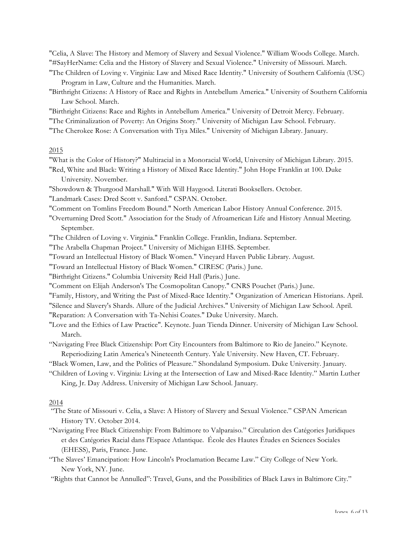"Celia, A Slave: The History and Memory of Slavery and Sexual Violence." William Woods College. March. "#SayHerName: Celia and the History of Slavery and Sexual Violence." University of Missouri. March.

- "The Children of Loving v. Virginia: Law and Mixed Race Identity." University of Southern California (USC) Program in Law, Culture and the Humanities. March.
- "Birthright Citizens: A History of Race and Rights in Antebellum America." University of Southern California Law School. March.

"Birthright Citizens: Race and Rights in Antebellum America." University of Detroit Mercy. February. "The Criminalization of Poverty: An Origins Story." University of Michigan Law School. February. "The Cherokee Rose: A Conversation with Tiya Miles." University of Michigan Library. January.

### 2015

- "What is the Color of History?" Multiracial in a Monoracial World, University of Michigan Library. 2015.
- "Red, White and Black: Writing a History of Mixed Race Identity." John Hope Franklin at 100. Duke University. November.

"Showdown & Thurgood Marshall." With Will Haygood. Literati Booksellers. October.

"Landmark Cases: Dred Scott v. Sanford." CSPAN. October.

"Comment on Tomlins Freedom Bound." North American Labor History Annual Conference. 2015.

"Overturning Dred Scott." Association for the Study of Afroamerican Life and History Annual Meeting. September.

"The Children of Loving v. Virginia." Franklin College. Franklin, Indiana. September.

"The Arabella Chapman Project." University of Michigan EIHS. September.

"Toward an Intellectual History of Black Women." Vineyard Haven Public Library. August.

"Toward an Intellectual History of Black Women." CIRESC (Paris.) June.

"Birthright Citizens." Columbia University Reid Hall (Paris.) June.

"Comment on Elijah Anderson's The Cosmopolitan Canopy." CNRS Pouchet (Paris.) June.

"Family, History, and Writing the Past of Mixed-Race Identity." Organization of American Historians. April.

"Silence and Slavery's Shards. Allure of the Judicial Archives." University of Michigan Law School. April.

"Reparation: A Conversation with Ta-Nehisi Coates." Duke University. March.

"Love and the Ethics of Law Practice". Keynote. Juan Tienda Dinner. University of Michigan Law School. March.

"Navigating Free Black Citizenship: Port City Encounters from Baltimore to Rio de Janeiro." Keynote. Reperiodizing Latin America's Nineteenth Century. Yale University. New Haven, CT. February.

"Black Women, Law, and the Politics of Pleasure." Shondaland Symposium. Duke University. January.

"Children of Loving v. Virginia: Living at the Intersection of Law and Mixed-Race Identity." Martin Luther King, Jr. Day Address. University of Michigan Law School. January.

## 2014

"The State of Missouri v. Celia, a Slave: A History of Slavery and Sexual Violence." CSPAN American History TV. October 2014.

- "Navigating Free Black Citizenship: From Baltimore to Valparaiso*.*" Circulation des Catégories Juridiques et des Catégories Racial dans l'Espace Atlantique. École des Hautes Études en Sciences Sociales (EHESS), Paris, France. June.
- "The Slaves' Emancipation: How Lincoln's Proclamation Became Law." City College of New York. New York, NY. June.

"Rights that Cannot be Annulled": Travel, Guns, and the Possibilities of Black Laws in Baltimore City."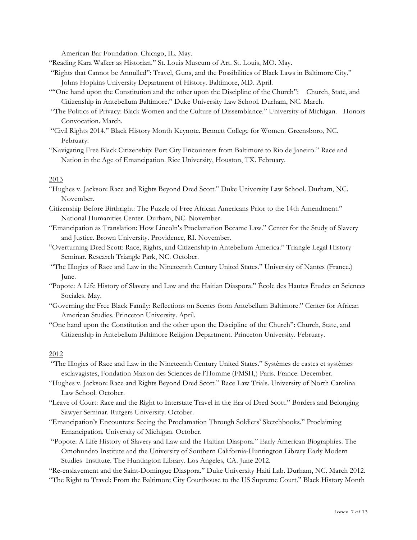American Bar Foundation. Chicago, IL. May.

- "Reading Kara Walker as Historian." St. Louis Museum of Art. St. Louis, MO. May.
- "Rights that Cannot be Annulled": Travel, Guns, and the Possibilities of Black Laws in Baltimore City." Johns Hopkins University Department of History. Baltimore, MD. April.
- ""One hand upon the Constitution and the other upon the Discipline of the Church": Church, State, and Citizenship in Antebellum Baltimore." Duke University Law School. Durham, NC. March.
- "The Politics of Privacy: Black Women and the Culture of Dissemblance." University of Michigan. Honors Convocation. March.
- "Civil Rights 2014." Black History Month Keynote. Bennett College for Women. Greensboro, NC. February.
- "Navigating Free Black Citizenship: Port City Encounters from Baltimore to Rio de Janeiro." Race and Nation in the Age of Emancipation. Rice University, Houston, TX. February.

## 2013

- "Hughes v. Jackson: Race and Rights Beyond Dred Scott." Duke University Law School. Durham, NC. November.
- Citizenship Before Birthright: The Puzzle of Free African Americans Prior to the 14th Amendment." National Humanities Center. Durham, NC. November.
- "Emancipation as Translation: How Lincoln's Proclamation Became Law." Center for the Study of Slavery and Justice. Brown University. Providence, RI. November.
- "Overturning Dred Scott: Race, Rights, and Citizenship in Antebellum America." Triangle Legal History Seminar. Research Triangle Park, NC. October.
- "The Illogics of Race and Law in the Nineteenth Century United States." University of Nantes (France.) June.
- "Popote: A Life History of Slavery and Law and the Haitian Diaspora." École des Hautes Études en Sciences Sociales. May.
- "Governing the Free Black Family: Reflections on Scenes from Antebellum Baltimore." Center for African American Studies. Princeton University. April.
- "One hand upon the Constitution and the other upon the Discipline of the Church": Church, State, and Citizenship in Antebellum Baltimore Religion Department. Princeton University. February.

### 2012

- "The Illogics of Race and Law in the Nineteenth Century United States." Systèmes de castes et systèmes esclavagistes, Fondation Maison des Sciences de l'Homme (FMSH,) Paris. France. December.
- "Hughes v. Jackson: Race and Rights Beyond Dred Scott." Race Law Trials. University of North Carolina Law School. October.
- "Leave of Court: Race and the Right to Interstate Travel in the Era of Dred Scott." Borders and Belonging Sawyer Seminar. Rutgers University. October.
- "Emancipation's Encounters: Seeing the Proclamation Through Soldiers' Sketchbooks." Proclaiming Emancipation. University of Michigan. October.

"Popote: A Life History of Slavery and Law and the Haitian Diaspora." Early American Biographies. The Omohundro Institute and the University of Southern California-Huntington Library Early Modern Studies Institute. The Huntington Library. Los Angeles, CA. June 2012.

"Re-enslavement and the Saint-Domingue Diaspora." Duke University Haiti Lab. Durham, NC. March 2012. "The Right to Travel: From the Baltimore City Courthouse to the US Supreme Court." Black History Month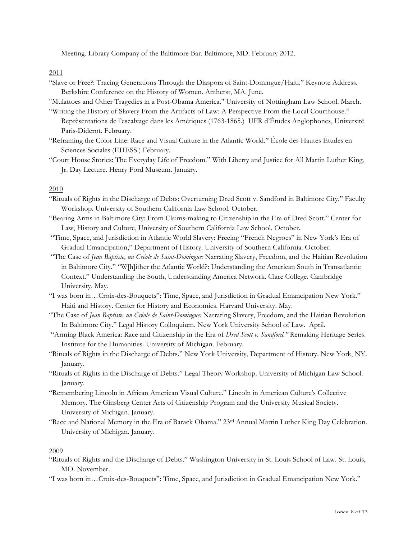Meeting. Library Company of the Baltimore Bar. Baltimore, MD. February 2012.

2011

"Slave or Free?: Tracing Generations Through the Diaspora of Saint-Domingue/Haiti." Keynote Address. Berkshire Conference on the History of Women. Amherst, MA. June.

"Mulattoes and Other Tragedies in a Post-Obama America." University of Nottingham Law School. March. "Writing the History of Slavery From the Artifacts of Law: A Perspective From the Local Courthouse."

- Reprèsentations de l'escalvage dans les Amériques (1763-1865.) UFR d'Études Anglophones, Université Paris-Diderot. February.
- "Reframing the Color Line: Race and Visual Culture in the Atlantic World." École des Hautes Études en Sciences Sociales (EHESS.) February.
- "Court House Stories: The Everyday Life of Freedom." With Liberty and Justice for All Martin Luther King, Jr. Day Lecture. Henry Ford Museum. January.

## 2010

- "Rituals of Rights in the Discharge of Debts: Overturning Dred Scott v. Sandford in Baltimore City." Faculty Workshop. University of Southern California Law School. October.
- "Bearing Arms in Baltimore City: From Claims-making to Citizenship in the Era of Dred Scott." Center for Law, History and Culture, University of Southern California Law School. October.
- "Time, Space, and Jurisdiction in Atlantic World Slavery: Freeing "French Negroes" in New York's Era of Gradual Emancipation," Department of History. University of Southern California. October.
- "The Case of *Jean Baptiste, un Créole de Saint-Domingue:* Narrating Slavery, Freedom, and the Haitian Revolution in Baltimore City." "W[h]ither the Atlantic World?: Understanding the American South in Transatlantic Context." Understanding the South, Understanding America Network. Clare College. Cambridge University. May.
- "I was born in…Croix-des-Bouquets": Time, Space, and Jurisdiction in Gradual Emancipation New York." Haiti and History. Center for History and Economics. Harvard University. May.
- "The Case of *Jean Baptiste, un Créole de Saint-Domingue:* Narrating Slavery, Freedom, and the Haitian Revolution In Baltimore City." Legal History Colloquium. New York University School of Law. April.
- "Arming Black America: Race and Citizenship in the Era of *Dred Scott v. Sandford."* Remaking Heritage Series. Institute for the Humanities. University of Michigan. February.
- "Rituals of Rights in the Discharge of Debts." New York University, Department of History. New York, NY. January.
- "Rituals of Rights in the Discharge of Debts." Legal Theory Workshop. University of Michigan Law School. January.
- "Remembering Lincoln in African American Visual Culture." Lincoln in American Culture's Collective Memory. The Ginsberg Center Arts of Citizenship Program and the University Musical Society. University of Michigan. January.
- "Race and National Memory in the Era of Barack Obama." 23rd Annual Martin Luther King Day Celebration. University of Michigan. January.

# 2009

- "Rituals of Rights and the Discharge of Debts." Washington University in St. Louis School of Law. St. Louis, MO. November.
- "I was born in…Croix-des-Bouquets": Time, Space, and Jurisdiction in Gradual Emancipation New York."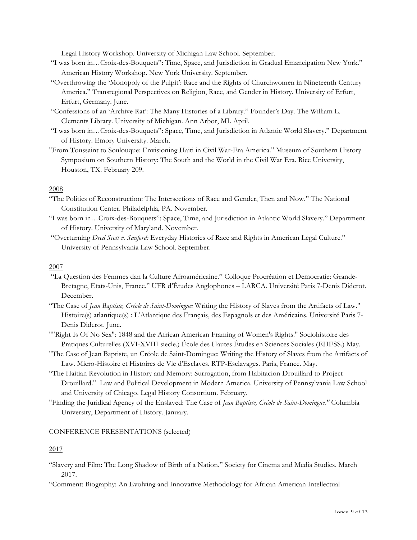Legal History Workshop. University of Michigan Law School. September.

- "I was born in…Croix-des-Bouquets": Time, Space, and Jurisdiction in Gradual Emancipation New York." American History Workshop. New York University. September.
- "Overthrowing the 'Monopoly of the Pulpit': Race and the Rights of Churchwomen in Nineteenth Century America." Transregional Perspectives on Religion, Race, and Gender in History. University of Erfurt, Erfurt, Germany. June.
- "Confessions of an 'Archive Rat': The Many Histories of a Library." Founder's Day. The William L. Clements Library. University of Michigan. Ann Arbor, MI. April.
- "I was born in…Croix-des-Bouquets": Space, Time, and Jurisdiction in Atlantic World Slavery." Department of History. Emory University. March.
- "From Toussaint to Soulouque: Envisioning Haiti in Civil War-Era America." Museum of Southern History Symposium on Southern History: The South and the World in the Civil War Era. Rice University, Houston, TX. February 209.

## 2008

- "The Politics of Reconstruction: The Intersections of Race and Gender, Then and Now." The National Constitution Center. Philadelphia, PA. November.
- "I was born in…Croix-des-Bouquets": Space, Time, and Jurisdiction in Atlantic World Slavery." Department of History. University of Maryland. November.
- "Overturning *Dred Scott v. Sanford:* Everyday Histories of Race and Rights in American Legal Culture." University of Pennsylvania Law School. September.

## 2007

- "La Question des Femmes dan la Culture Afroaméricaine." Colloque Procréation et Democratie: Grande-Bretagne, Etats-Unis, France." UFR d'Études Anglophones – LARCA. Université Paris 7-Denis Diderot. December.
- "The Case of *Jean Baptiste, Créole de Saint-Domingue:* Writing the History of Slaves from the Artifacts of Law." Histoire(s) atlantique(s) : L'Atlantique des Français, des Espagnols et des Américains. Université Paris 7- Denis Diderot. June.
- ""Right Is Of No Sex": 1848 and the African American Framing of Women's Rights." Sociohistoire des Pratiques Culturelles (XVI-XVIII siecle.) École des Hautes Études en Sciences Sociales (EHESS.) May.
- "The Case of Jean Baptiste, un Créole de Saint-Domingue: Writing the History of Slaves from the Artifacts of Law. Micro-Histoire et Histoires de Vie d'Esclaves. RTP-Esclavages. Paris, France. May.
- "The Haitian Revolution in History and Memory: Surrogation, from Habitacion Drouillard to Project Drouillard." Law and Political Development in Modern America. University of Pennsylvania Law School and University of Chicago. Legal History Consortium. February.
- "Finding the Juridical Agency of the Enslaved: The Case of *Jean Baptiste, Créole de Saint-Domingue."* Columbia University, Department of History. January.

## CONFERENCE PRESENTATIONS (selected)

# 2017

- "Slavery and Film: The Long Shadow of Birth of a Nation." Society for Cinema and Media Studies. March 2017.
- "Comment: Biography: An Evolving and Innovative Methodology for African American Intellectual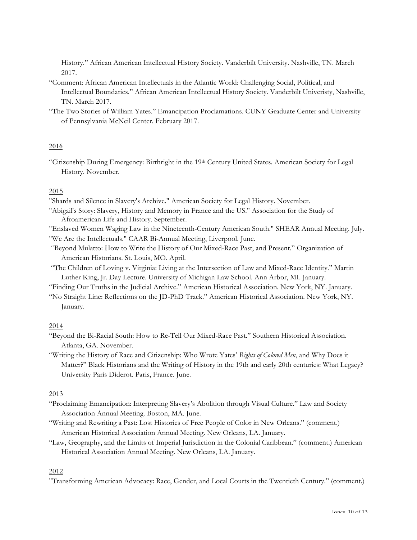History." African American Intellectual History Society. Vanderbilt University. Nashville, TN. March 2017.

- "Comment: African American Intellectuals in the Atlantic World: Challenging Social, Political, and Intellectual Boundaries." African American Intellectual History Society. Vanderbilt Univeristy, Nashville, TN. March 2017.
- "The Two Stories of William Yates." Emancipation Proclamations. CUNY Graduate Center and University of Pennsylvania McNeil Center. February 2017.

### 2016

"Citizenship During Emergency: Birthright in the 19th Century United States. American Society for Legal History. November.

# 2015

"Shards and Silence in Slavery's Archive." American Society for Legal History. November.

- "Abigail's Story: Slavery, History and Memory in France and the US." Association for the Study of Afroamerican Life and History. September.
- "Enslaved Women Waging Law in the Nineteenth-Century American South." SHEAR Annual Meeting. July. "We Are the Intellectuals." CAAR Bi-Annual Meeting, Liverpool. June.
- "Beyond Mulatto: How to Write the History of Our Mixed-Race Past, and Present." Organization of American Historians. St. Louis, MO. April.
- "The Children of Loving v. Virginia: Living at the Intersection of Law and Mixed-Race Identity." Martin Luther King, Jr. Day Lecture. University of Michigan Law School. Ann Arbor, MI. January.
- "Finding Our Truths in the Judicial Archive." American Historical Association. New York, NY. January.
- "No Straight Line: Reflections on the JD-PhD Track." American Historical Association. New York, NY. January.

### 2014

- "Beyond the Bi-Racial South: How to Re-Tell Our Mixed-Race Past." Southern Historical Association. Atlanta, GA. November.
- "Writing the History of Race and Citizenship: Who Wrote Yates' *Rights of Colored Men*, and Why Does it Matter?" Black Historians and the Writing of History in the 19th and early 20th centuries: What Legacy? University Paris Diderot. Paris, France. June.

## 2013

- "Proclaiming Emancipation: Interpreting Slavery's Abolition through Visual Culture." Law and Society Association Annual Meeting. Boston, MA. June.
- "Writing and Rewriting a Past: Lost Histories of Free People of Color in New Orleans." (comment.) American Historical Association Annual Meeting. New Orleans, LA. January.
- "Law, Geography, and the Limits of Imperial Jurisdiction in the Colonial Caribbean." (comment.) American Historical Association Annual Meeting. New Orleans, LA. January.

### 2012

"Transforming American Advocacy: Race, Gender, and Local Courts in the Twentieth Century." (comment.)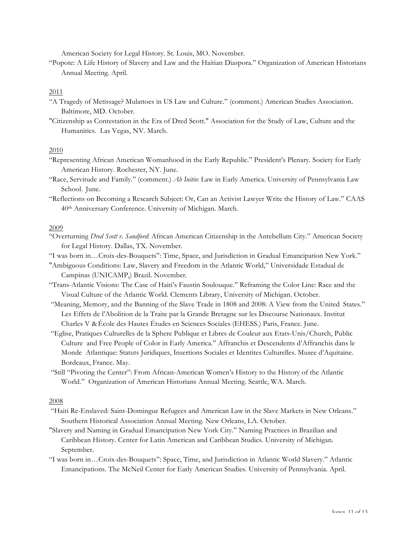American Society for Legal History. St. Louis, MO. November.

"Popote: A Life History of Slavery and Law and the Haitian Diaspora." Organization of American Historians Annual Meeting. April.

### 2011

- "A Tragedy of Metissage? Mulattoes in US Law and Culture." (comment.) American Studies Association. Baltimore, MD. October.
- "Citizenship as Contestation in the Era of Dred Scott." Association for the Study of Law, Culture and the Humanities. Las Vegas, NV. March.

## 2010

- "Representing African American Womanhood in the Early Republic." President's Plenary. Society for Early American History. Rochester, NY. June.
- "Race, Servitude and Family." (comment.) *Ab Initio*: Law in Early America. University of Pennsylvania Law School. June.
- "Reflections on Becoming a Research Subject: Or, Can an Activist Lawyer Write the History of Law." CAAS 40th Anniversary Conference. University of Michigan. March.

### 2009

- "Overturning *Dred Scott v. Sandford*: African American Citizenship in the Antebellum City." American Society for Legal History. Dallas, TX. November.
- "I was born in…Croix-des-Bouquets": Time, Space, and Jurisdiction in Gradual Emancipation New York."
- "Ambiguous Conditions: Law, Slavery and Freedom in the Atlantic World," Universidade Estadual de Campinas (UNICAMP,) Brazil. November.
- "Trans-Atlantic Visions: The Case of Haiti's Faustin Soulouque." Reframing the Color Line: Race and the Visual Culture of the Atlantic World. Clements Library, University of Michigan. October.
- "Meaning, Memory, and the Banning of the Slave Trade in 1808 and 2008: A View from the United States." Les Effets de l'Abolition de la Traite par la Grande Bretagne sur les Discourse Nationaux. Institut Charles V &École des Hautes Études en Sciences Sociales (EHESS.) Paris, France. June.
- "Eglise, Pratiques Culturelles de la Sphere Publique et Libres de Couleur aux Etats-Unis/Church, Public Culture and Free People of Color in Early America." Affranchis et Descendents d'Affranchis dans le Monde Atlantique: Statuts Juridiques, Insertions Sociales et Identites Culturelles. Musee d'Aquitaine. Bordeaux, France. May.
- "Still "Pivoting the Center": From African-American Women's History to the History of the Atlantic World." Organization of American Historians Annual Meeting. Seattle, WA. March.

#### 2008

- "Haiti Re-Enslaved: Saint-Domingue Refugees and American Law in the Slave Markets in New Orleans." Southern Historical Association Annual Meeting. New Orleans, LA. October.
- "Slavery and Naming in Gradual Emancipation New York City." Naming Practices in Brazilian and Caribbean History. Center for Latin American and Caribbean Studies. University of Michigan. September.
- "I was born in…Croix-des-Bouquets": Space, Time, and Jurisdiction in Atlantic World Slavery." Atlantic Emancipations. The McNeil Center for Early American Studies. University of Pennsylvania. April.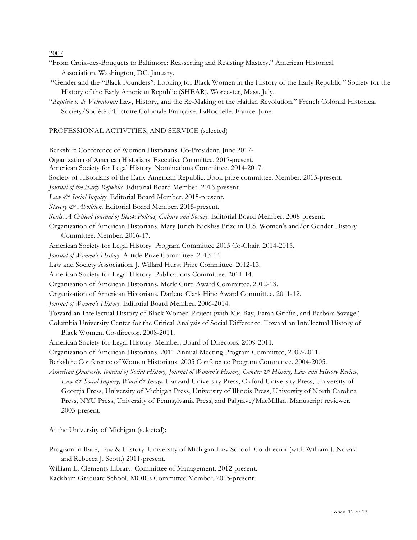2007

- "From Croix-des-Bouquets to Baltimore: Reasserting and Resisting Mastery." American Historical Association. Washington, DC. January.
- "Gender and the "Black Founders": Looking for Black Women in the History of the Early Republic." Society for the History of the Early American Republic (SHEAR). Worcester, Mass. July.
- "*Baptiste v. de Volunbrun:* Law, History, and the Re-Making of the Haitian Revolution." French Colonial Historical Society/Société d'Histoire Coloniale Française. LaRochelle. France. June.

## PROFESSIONAL ACTIVITIES, AND SERVICE (selected)

Berkshire Conference of Women Historians. Co-President. June 2017-

Organization of American Historians. Executive Committee. 2017-present.

American Society for Legal History. Nominations Committee. 2014-2017.

Society of Historians of the Early American Republic. Book prize committee. Member. 2015-present.

*Journal of the Early Republic.* Editorial Board Member. 2016-present.

*Law & Social Inquiry.* Editorial Board Member. 2015-present.

*Slavery & Abolition.* Editorial Board Member. 2015-present.

*Souls: A Critical Journal of Black Politics, Culture and Society.* Editorial Board Member. 2008-present.

Organization of American Historians. Mary Jurich Nickliss Prize in U.S. Women's and/or Gender History Committee. Member. 2016-17.

American Society for Legal History. Program Committee 2015 Co-Chair. 2014-2015.

*Journal of Women's History*. Article Prize Committee. 2013-14.

Law and Society Association. J. Willard Hurst Prize Committee. 2012-13.

American Society for Legal History. Publications Committee. 2011-14.

Organization of American Historians. Merle Curti Award Committee. 2012-13.

Organization of American Historians. Darlene Clark Hine Award Committee. 2011-12.

*Journal of Women's History.* Editorial Board Member. 2006-2014.

Toward an Intellectual History of Black Women Project (with Mia Bay, Farah Griffin, and Barbara Savage.)

Columbia University Center for the Critical Analysis of Social Difference. Toward an Intellectual History of Black Women. Co-director. 2008-2011.

- American Society for Legal History. Member, Board of Directors, 2009-2011.
- Organization of American Historians. 2011 Annual Meeting Program Committee, 2009-2011.
- Berkshire Conference of Women Historians. 2005 Conference Program Committee. 2004-2005.

*American Quarterly, Journal of Social History, Journal of Women's History, Gender & History, Law and History Review, Law & Social Inquiry, Word & Image,* Harvard University Press, Oxford University Press, University of Georgia Press, University of Michigan Press, University of Illinois Press, University of North Carolina Press, NYU Press, University of Pennsylvania Press, and Palgrave/MacMillan. Manuscript reviewer. 2003-present.

At the University of Michigan (selected):

Program in Race, Law & History. University of Michigan Law School. Co-director (with William J. Novak and Rebecca J. Scott.) 2011-present.

William L. Clements Library. Committee of Management. 2012-present.

Rackham Graduate School. MORE Committee Member. 2015-present.